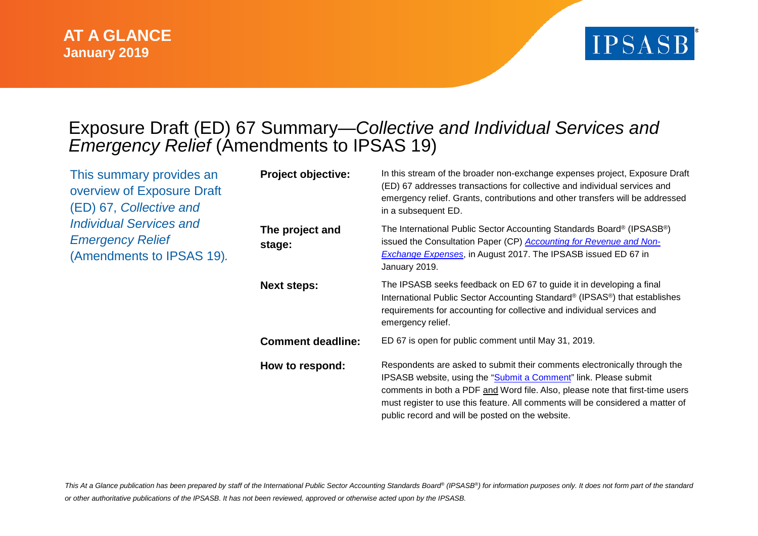

## Exposure Draft (ED) 67 Summary—*Collective and Individual Services and Emergency Relief* (Amendments to IPSAS 19)

| This summary provides an<br>overview of Exposure Draft<br>(ED) 67, Collective and<br><b>Individual Services and</b><br><b>Emergency Relief</b><br>(Amendments to IPSAS 19). | <b>Project objective:</b> | In this stream of the broader non-exchange expenses project, Exposure Draft<br>(ED) 67 addresses transactions for collective and individual services and<br>emergency relief. Grants, contributions and other transfers will be addressed<br>in a subsequent ED.                                                                                                     |
|-----------------------------------------------------------------------------------------------------------------------------------------------------------------------------|---------------------------|----------------------------------------------------------------------------------------------------------------------------------------------------------------------------------------------------------------------------------------------------------------------------------------------------------------------------------------------------------------------|
|                                                                                                                                                                             | The project and<br>stage: | The International Public Sector Accounting Standards Board <sup>®</sup> (IPSASB <sup>®</sup> )<br>issued the Consultation Paper (CP) <b>Accounting for Revenue and Non-</b><br><b>Exchange Expenses, in August 2017. The IPSASB issued ED 67 in</b><br>January 2019.                                                                                                 |
|                                                                                                                                                                             | <b>Next steps:</b>        | The IPSASB seeks feedback on ED 67 to guide it in developing a final<br>International Public Sector Accounting Standard® (IPSAS®) that establishes<br>requirements for accounting for collective and individual services and<br>emergency relief.                                                                                                                    |
|                                                                                                                                                                             | <b>Comment deadline:</b>  | ED 67 is open for public comment until May 31, 2019.                                                                                                                                                                                                                                                                                                                 |
|                                                                                                                                                                             | How to respond:           | Respondents are asked to submit their comments electronically through the<br>IPSASB website, using the "Submit a Comment" link. Please submit<br>comments in both a PDF and Word file. Also, please note that first-time users<br>must register to use this feature. All comments will be considered a matter of<br>public record and will be posted on the website. |

This At a Glance publication has been prepared by staff of the International Public Sector Accounting Standards Board® (IPSASB®) for information purposes only. It does not form part of the standard *or other authoritative publications of the IPSASB. It has not been reviewed, approved or otherwise acted upon by the IPSASB.*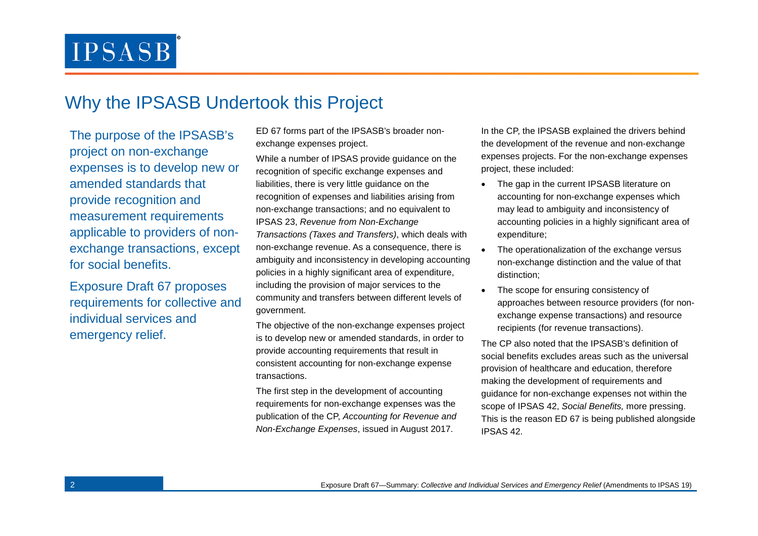### Why the IPSASB Undertook this Project

The purpose of the IPSASB's project on non-exchange expenses is to develop new or amended standards that provide recognition and measurement requirements applicable to providers of nonexchange transactions, except for social benefits.

Exposure Draft 67 proposes requirements for collective and individual services and emergency relief.

ED 67 forms part of the IPSASB's broader nonexchange expenses project.

While a number of IPSAS provide guidance on the recognition of specific exchange expenses and liabilities, there is very little guidance on the recognition of expenses and liabilities arising from non-exchange transactions; and no equivalent to IPSAS 23, *Revenue from Non-Exchange Transactions (Taxes and Transfers)*, which deals with non-exchange revenue. As a consequence, there is ambiguity and inconsistency in developing accounting policies in a highly significant area of expenditure, including the provision of major services to the community and transfers between different levels of government.

The objective of the non-exchange expenses project is to develop new or amended standards, in order to provide accounting requirements that result in consistent accounting for non-exchange expense transactions.

The first step in the development of accounting requirements for non-exchange expenses was the publication of the CP, *Accounting for Revenue and Non-Exchange Expenses*, issued in August 2017.

In the CP, the IPSASB explained the drivers behind the development of the revenue and non-exchange expenses projects. For the non-exchange expenses project, these included:

- The gap in the current IPSASB literature on accounting for non-exchange expenses which may lead to ambiguity and inconsistency of accounting policies in a highly significant area of expenditure;
- The operationalization of the exchange versus non-exchange distinction and the value of that distinction;
- The scope for ensuring consistency of approaches between resource providers (for nonexchange expense transactions) and resource recipients (for revenue transactions).

The CP also noted that the IPSASB's definition of social benefits excludes areas such as the universal provision of healthcare and education, therefore making the development of requirements and guidance for non-exchange expenses not within the scope of IPSAS 42, *Social Benefits,* more pressing. This is the reason ED 67 is being published alongside IPSAS 42.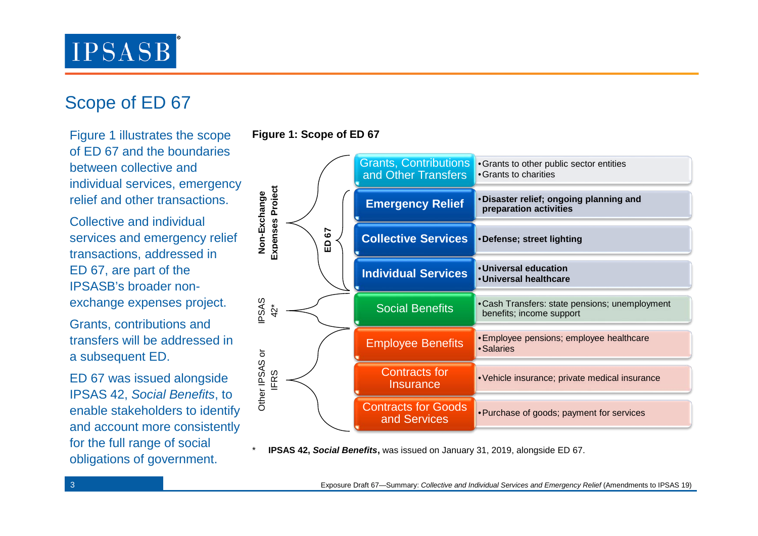# Scope of ED 67

Figure 1 illustrates the scope of ED 67 and the boundaries between collective and individual services, emergency relief and other transactions.

Collective and individual services and emergency relief transactions, addressed in ED 67, are part of the IPSASB's broader nonexchange expenses project.

Grants, contributions and transfers will be addressed in a subsequent ED.

ED 67 was issued alongside IPSAS 42, *Social Benefits*, to enable stakeholders to identify and account more consistently for the full range of social obligations of government.

### **Figure 1: Scope of ED 67**



**IPSAS 42, Social Benefits**, was issued on January 31, 2019, alongside ED 67.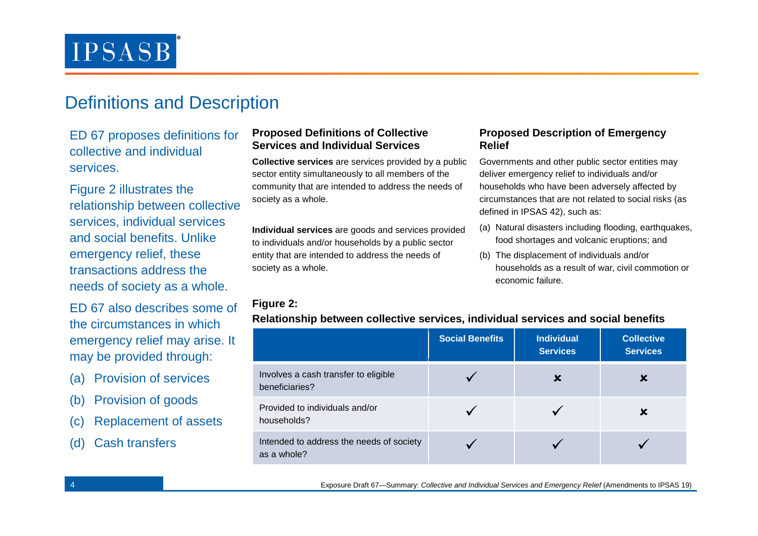### Definitions and Description

ED 67 proposes definitions for collective and individual services.

Figure 2 illustrates the relationship between collective services, individual services and social benefits. Unlike emergency relief, these transactions address the needs of society as a whole.

ED 67 also describes some of the circumstances in which emergency relief may arise. It may be provided through:

- (a) Provision of services
- (b) Provision of goods
- (c) Replacement of assets
- (d) Cash transfers

### **Proposed Definitions of Collective Services and Individual Services**

**Collective services** are services provided by a public sector entity simultaneously to all members of the community that are intended to address the needs of society as a whole.

**Individual services** are goods and services provided to individuals and/or households by a public sector entity that are intended to address the needs of society as a whole.

### **Figure 2:**

|                                                         | <b>Social Benefits</b> | <b>Individual</b><br><b>Services</b> | <b>Collective</b><br><b>Services</b> |
|---------------------------------------------------------|------------------------|--------------------------------------|--------------------------------------|
| Involves a cash transfer to eligible<br>beneficiaries?  |                        | х                                    |                                      |
| Provided to individuals and/or<br>households?           |                        |                                      |                                      |
| Intended to address the needs of society<br>as a whole? |                        |                                      |                                      |

### **Relationship between collective services, individual services and social benefits**

**Relief**

**Proposed Description of Emergency** 

defined in IPSAS 42), such as:

economic failure.

Governments and other public sector entities may deliver emergency relief to individuals and/or households who have been adversely affected by circumstances that are not related to social risks (as

(a) Natural disasters including flooding, earthquakes, food shortages and volcanic eruptions; and

households as a result of war, civil commotion or

(b) The displacement of individuals and/or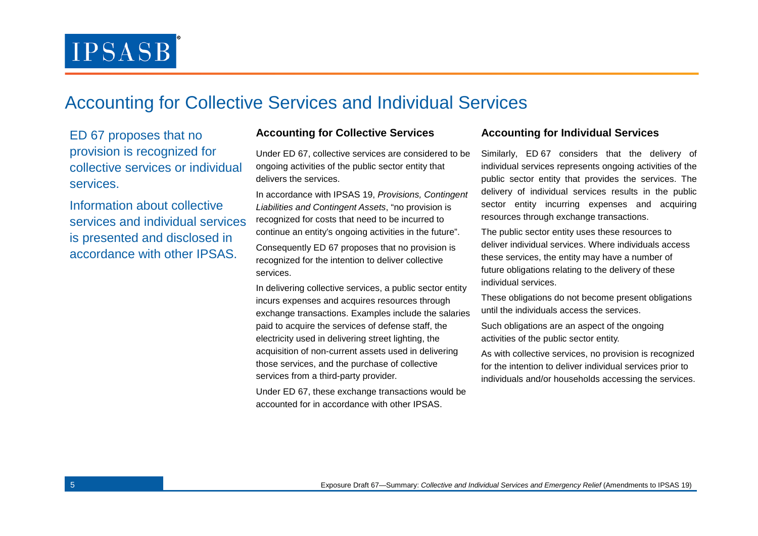### Accounting for Collective Services and Individual Services

ED 67 proposes that no provision is recognized for collective services or individual services.

Information about collective services and individual services is presented and disclosed in accordance with other IPSAS.

#### **Accounting for Collective Services Accounting for Individual Services**

Under ED 67, collective services are considered to be ongoing activities of the public sector entity that delivers the services.

In accordance with IPSAS 19, *Provisions, Contingent Liabilities and Contingent Assets*, "no provision is recognized for costs that need to be incurred to continue an entity's ongoing activities in the future". Consequently ED 67 proposes that no provision is recognized for the intention to deliver collective services.

In delivering collective services, a public sector entity incurs expenses and acquires resources through exchange transactions. Examples include the salaries paid to acquire the services of defense staff, the electricity used in delivering street lighting, the acquisition of non-current assets used in delivering those services, and the purchase of collective services from a third-party provider.

Under ED 67, these exchange transactions would be accounted for in accordance with other IPSAS.

Similarly, ED 67 considers that the delivery of individual services represents ongoing activities of the public sector entity that provides the services. The delivery of individual services results in the public sector entity incurring expenses and acquiring resources through exchange transactions.

The public sector entity uses these resources to deliver individual services. Where individuals access these services, the entity may have a number of future obligations relating to the delivery of these individual services.

These obligations do not become present obligations until the individuals access the services.

Such obligations are an aspect of the ongoing activities of the public sector entity.

As with collective services, no provision is recognized for the intention to deliver individual services prior to individuals and/or households accessing the services.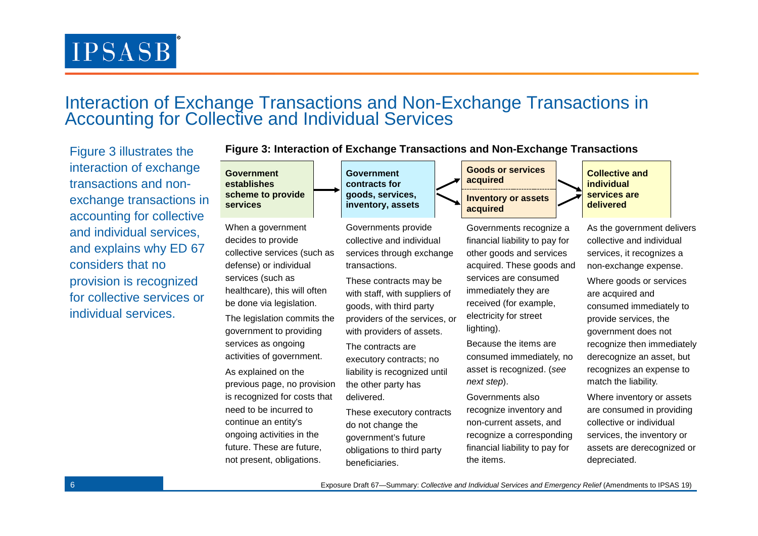### Interaction of Exchange Transactions and Non-Exchange Transactions in Accounting for Collective and Individual Services

Figure 3 illustrates the interaction of exchange transactions and nonexchange transactions accounting for collectiv and individual services, and explains why ED 6 considers that no provision is recognized for collective services or individual services.

|                      | ********************                                                                                                                                                                                                                               |                                                                                                                                                                                                                                                    |                                                                                                                                                                                                                                        |  |  |  |  |  |
|----------------------|----------------------------------------------------------------------------------------------------------------------------------------------------------------------------------------------------------------------------------------------------|----------------------------------------------------------------------------------------------------------------------------------------------------------------------------------------------------------------------------------------------------|----------------------------------------------------------------------------------------------------------------------------------------------------------------------------------------------------------------------------------------|--|--|--|--|--|
|                      | <b>Government</b><br>establishes                                                                                                                                                                                                                   | <b>Government</b><br>contracts for                                                                                                                                                                                                                 | <b>Goods or services</b><br>acquired                                                                                                                                                                                                   |  |  |  |  |  |
| in<br>e              | scheme to provide<br>services                                                                                                                                                                                                                      | goods, services,<br>inventory, assets                                                                                                                                                                                                              | <b>Inventory or assets</b><br>acquired                                                                                                                                                                                                 |  |  |  |  |  |
| $\overline{7}$<br>λr | When a government<br>decides to provide<br>collective services (such as<br>defense) or individual<br>services (such as<br>healthcare), this will often<br>be done via legislation.<br>The legislation commits the<br>government to providing       | Governments provide<br>collective and individual<br>services through exchange<br>transactions.<br>These contracts may be<br>with staff, with suppliers of<br>goods, with third party<br>providers of the services, or<br>with providers of assets. | Governments recognize a<br>financial liability to pay for<br>other goods and services<br>acquired. These goods and<br>services are consumed<br>immediately they are<br>received (for example,<br>electricity for street<br>lighting).  |  |  |  |  |  |
|                      | services as ongoing<br>activities of government.<br>As explained on the<br>previous page, no provision<br>is recognized for costs that<br>need to be incurred to<br>continue an entity's<br>ongoing activities in the<br>future. These are future, | The contracts are<br>executory contracts; no<br>liability is recognized until<br>the other party has<br>delivered.<br>These executory contracts<br>do not change the<br>government's future                                                        | Because the items are<br>consumed immediately, no<br>asset is recognized. (see<br>next step).<br>Governments also<br>recognize inventory and<br>non-current assets, and<br>recognize a corresponding<br>financial liability to pay for |  |  |  |  |  |
|                      | not present, obligations.                                                                                                                                                                                                                          | obligations to third party<br>beneficiaries.                                                                                                                                                                                                       | the items.                                                                                                                                                                                                                             |  |  |  |  |  |

**Figure 3: Interaction of Exchange Transactions and Non-Exchange Transactions**

**a Collective and individual services are Example 18 Services or all of the set of services or all of the set of services or all of the set of set of set of set of set of set of set of set of set of set of set of set of set of set of set of set of set of se** 

As the government delivers collective and individual services, it recognizes a non-exchange expense. Where goods or services are acquired and consumed immediately to provide services, the government does not recognize then immediately derecognize an asset, but recognizes an expense to match the liability.

Where inventory or assets are consumed in providing collective or individual services, the inventory or assets are derecognized or depreciated.

6 Exposure Draft 67—Summary: *Collective and Individual Services and Emergency Relief* (Amendments to IPSAS 19)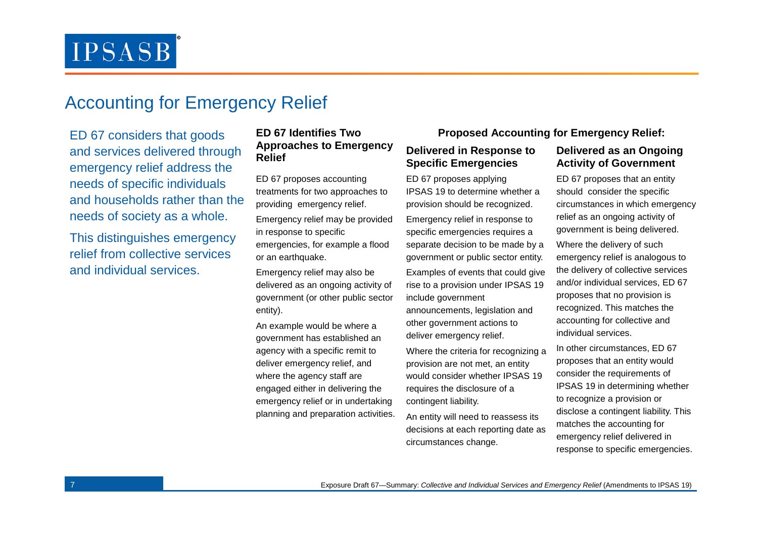### Accounting for Emergency Relief

ED 67 considers that goods and services delivered through emergency relief address the needs of specific individuals and households rather than the needs of society as a whole.

This distinguishes emergency relief from collective services and individual services.

### **ED 67 Identifies Two Approaches to Emergency Relief**

ED 67 proposes accounting treatments for two approaches to providing emergency relief.

Emergency relief may be provided in response to specific emergencies, for example a flood or an earthquake.

Emergency relief may also be delivered as an ongoing activity of government (or other public sector entity).

An example would be where a government has established an agency with a specific remit to deliver emergency relief, and where the agency staff are engaged either in delivering the emergency relief or in undertaking planning and preparation activities.

### **Proposed Accounting for Emergency Relief:**

#### **Delivered in Response to Specific Emergencies**

ED 67 proposes applying IPSAS 19 to determine whether a provision should be recognized.

Emergency relief in response to specific emergencies requires a separate decision to be made by a government or public sector entity.

Examples of events that could give rise to a provision under IPSAS 19 include government

announcements, legislation and other government actions to deliver emergency relief.

Where the criteria for recognizing a provision are not met, an entity would consider whether IPSAS 19 requires the disclosure of a contingent liability.

An entity will need to reassess its decisions at each reporting date as circumstances change.

#### **Delivered as an Ongoing Activity of Government**

ED 67 proposes that an entity should consider the specific circumstances in which emergency relief as an ongoing activity of government is being delivered. Where the delivery of such emergency relief is analogous to the delivery of collective services and/or individual services, ED 67 proposes that no provision is recognized. This matches the accounting for collective and individual services.

In other circumstances, ED 67 proposes that an entity would consider the requirements of IPSAS 19 in determining whether to recognize a provision or disclose a contingent liability. This matches the accounting for emergency relief delivered in response to specific emergencies.